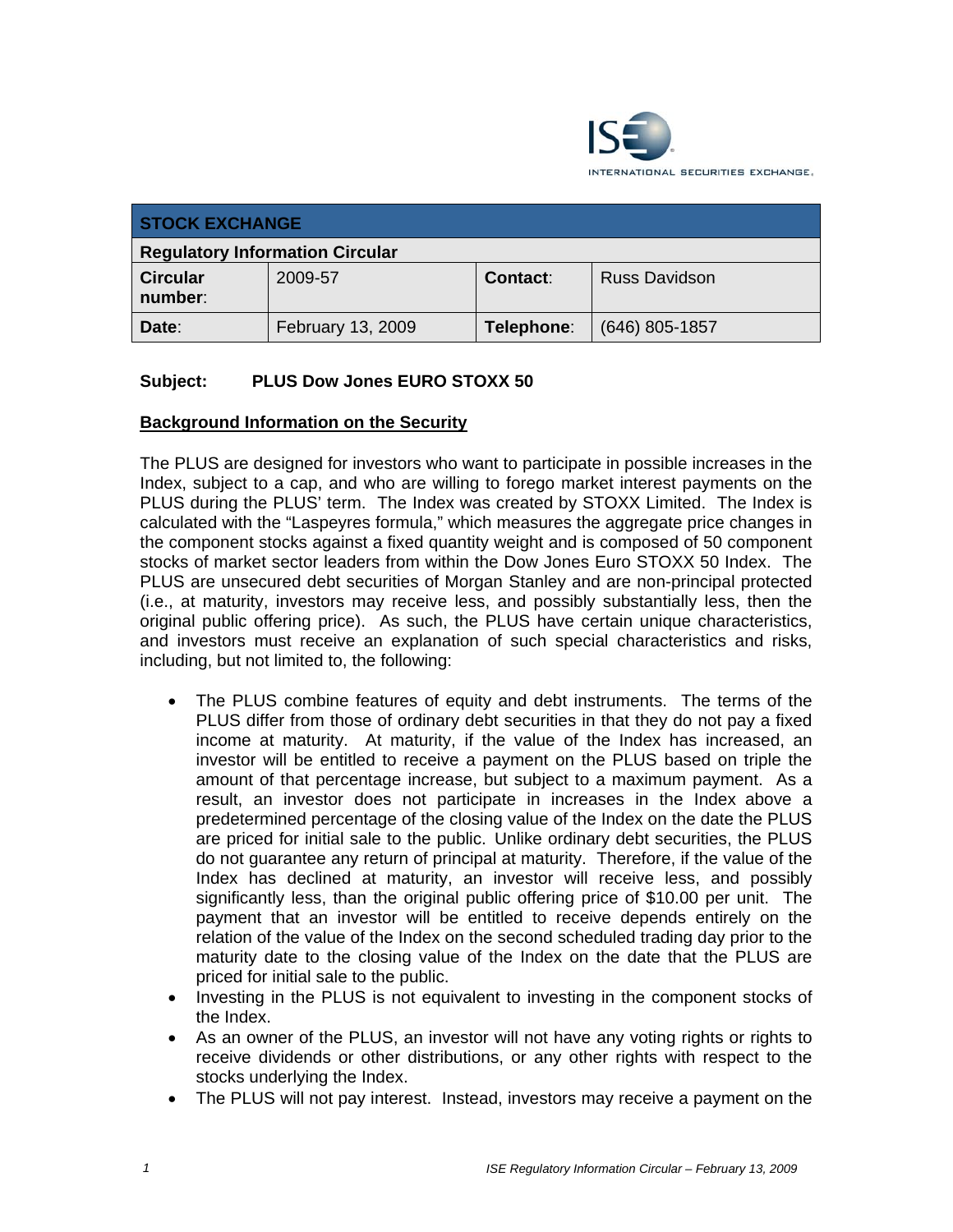

| <b>STOCK EXCHANGE</b>                  |                   |            |                      |
|----------------------------------------|-------------------|------------|----------------------|
| <b>Regulatory Information Circular</b> |                   |            |                      |
| <b>Circular</b><br>number:             | 2009-57           | Contact:   | <b>Russ Davidson</b> |
| Date:                                  | February 13, 2009 | Telephone: | $(646)$ 805-1857     |

# **Subject: PLUS Dow Jones EURO STOXX 50**

## **Background Information on the Security**

The PLUS are designed for investors who want to participate in possible increases in the Index, subject to a cap, and who are willing to forego market interest payments on the PLUS during the PLUS' term. The Index was created by STOXX Limited. The Index is calculated with the "Laspeyres formula," which measures the aggregate price changes in the component stocks against a fixed quantity weight and is composed of 50 component stocks of market sector leaders from within the Dow Jones Euro STOXX 50 Index. The PLUS are unsecured debt securities of Morgan Stanley and are non-principal protected (i.e., at maturity, investors may receive less, and possibly substantially less, then the original public offering price). As such, the PLUS have certain unique characteristics, and investors must receive an explanation of such special characteristics and risks, including, but not limited to, the following:

- The PLUS combine features of equity and debt instruments. The terms of the PLUS differ from those of ordinary debt securities in that they do not pay a fixed income at maturity. At maturity, if the value of the Index has increased, an investor will be entitled to receive a payment on the PLUS based on triple the amount of that percentage increase, but subject to a maximum payment. As a result, an investor does not participate in increases in the Index above a predetermined percentage of the closing value of the Index on the date the PLUS are priced for initial sale to the public. Unlike ordinary debt securities, the PLUS do not guarantee any return of principal at maturity. Therefore, if the value of the Index has declined at maturity, an investor will receive less, and possibly significantly less, than the original public offering price of \$10.00 per unit. The payment that an investor will be entitled to receive depends entirely on the relation of the value of the Index on the second scheduled trading day prior to the maturity date to the closing value of the Index on the date that the PLUS are priced for initial sale to the public.
- Investing in the PLUS is not equivalent to investing in the component stocks of the Index.
- As an owner of the PLUS, an investor will not have any voting rights or rights to receive dividends or other distributions, or any other rights with respect to the stocks underlying the Index.
- The PLUS will not pay interest. Instead, investors may receive a payment on the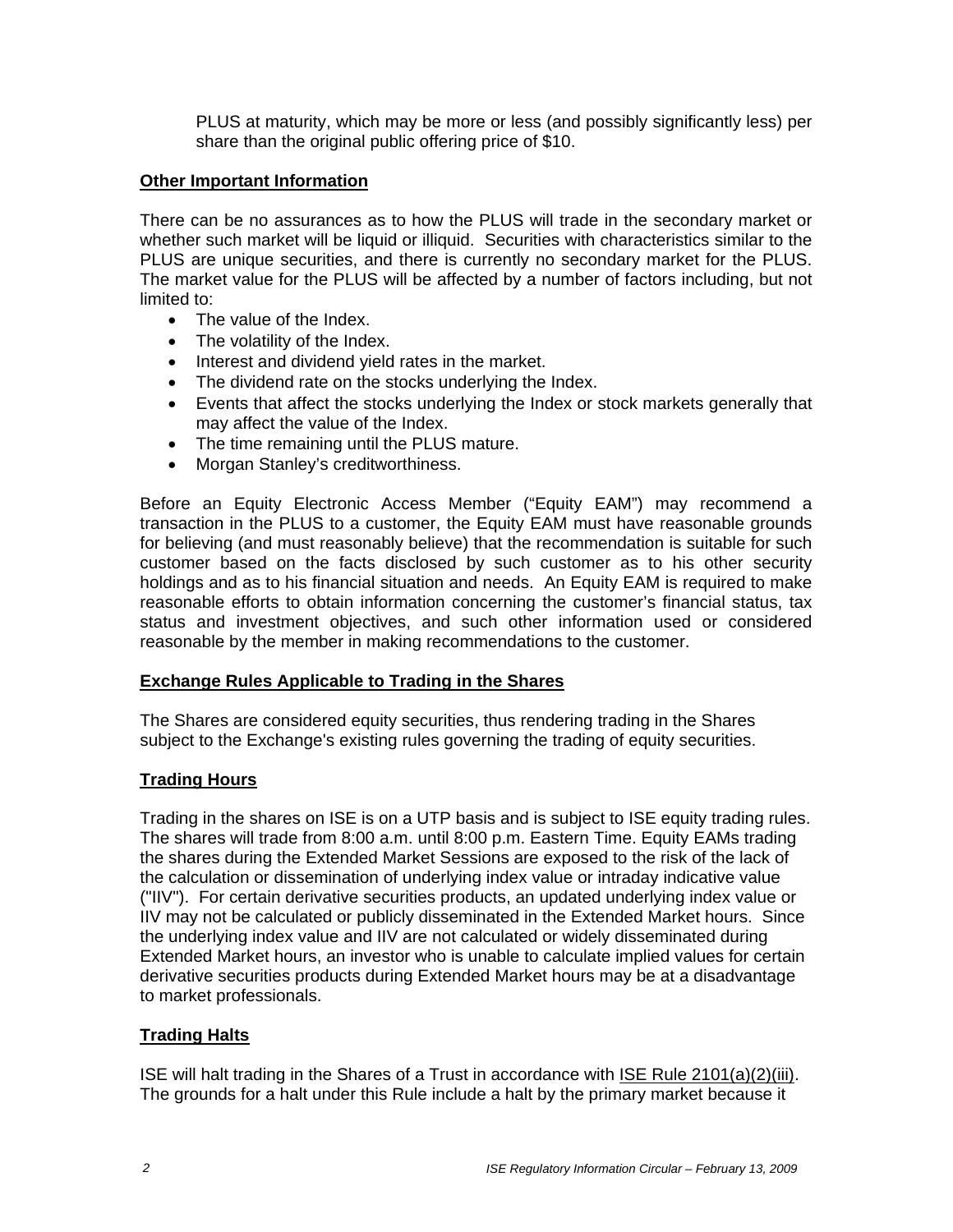PLUS at maturity, which may be more or less (and possibly significantly less) per share than the original public offering price of \$10.

#### **Other Important Information**

There can be no assurances as to how the PLUS will trade in the secondary market or whether such market will be liquid or illiquid. Securities with characteristics similar to the PLUS are unique securities, and there is currently no secondary market for the PLUS. The market value for the PLUS will be affected by a number of factors including, but not limited to:

- The value of the Index.
- The volatility of the Index.
- Interest and dividend yield rates in the market.
- The dividend rate on the stocks underlying the Index.
- Events that affect the stocks underlying the Index or stock markets generally that may affect the value of the Index.
- The time remaining until the PLUS mature.
- Morgan Stanley's creditworthiness.

Before an Equity Electronic Access Member ("Equity EAM") may recommend a transaction in the PLUS to a customer, the Equity EAM must have reasonable grounds for believing (and must reasonably believe) that the recommendation is suitable for such customer based on the facts disclosed by such customer as to his other security holdings and as to his financial situation and needs. An Equity EAM is required to make reasonable efforts to obtain information concerning the customer's financial status, tax status and investment objectives, and such other information used or considered reasonable by the member in making recommendations to the customer.

#### **Exchange Rules Applicable to Trading in the Shares**

The Shares are considered equity securities, thus rendering trading in the Shares subject to the Exchange's existing rules governing the trading of equity securities.

## **Trading Hours**

Trading in the shares on ISE is on a UTP basis and is subject to ISE equity trading rules. The shares will trade from 8:00 a.m. until 8:00 p.m. Eastern Time. Equity EAMs trading the shares during the Extended Market Sessions are exposed to the risk of the lack of the calculation or dissemination of underlying index value or intraday indicative value ("IIV"). For certain derivative securities products, an updated underlying index value or IIV may not be calculated or publicly disseminated in the Extended Market hours. Since the underlying index value and IIV are not calculated or widely disseminated during Extended Market hours, an investor who is unable to calculate implied values for certain derivative securities products during Extended Market hours may be at a disadvantage to market professionals.

## **Trading Halts**

ISE will halt trading in the Shares of a Trust in accordance with ISE Rule 2101(a)(2)(iii). The grounds for a halt under this Rule include a halt by the primary market because it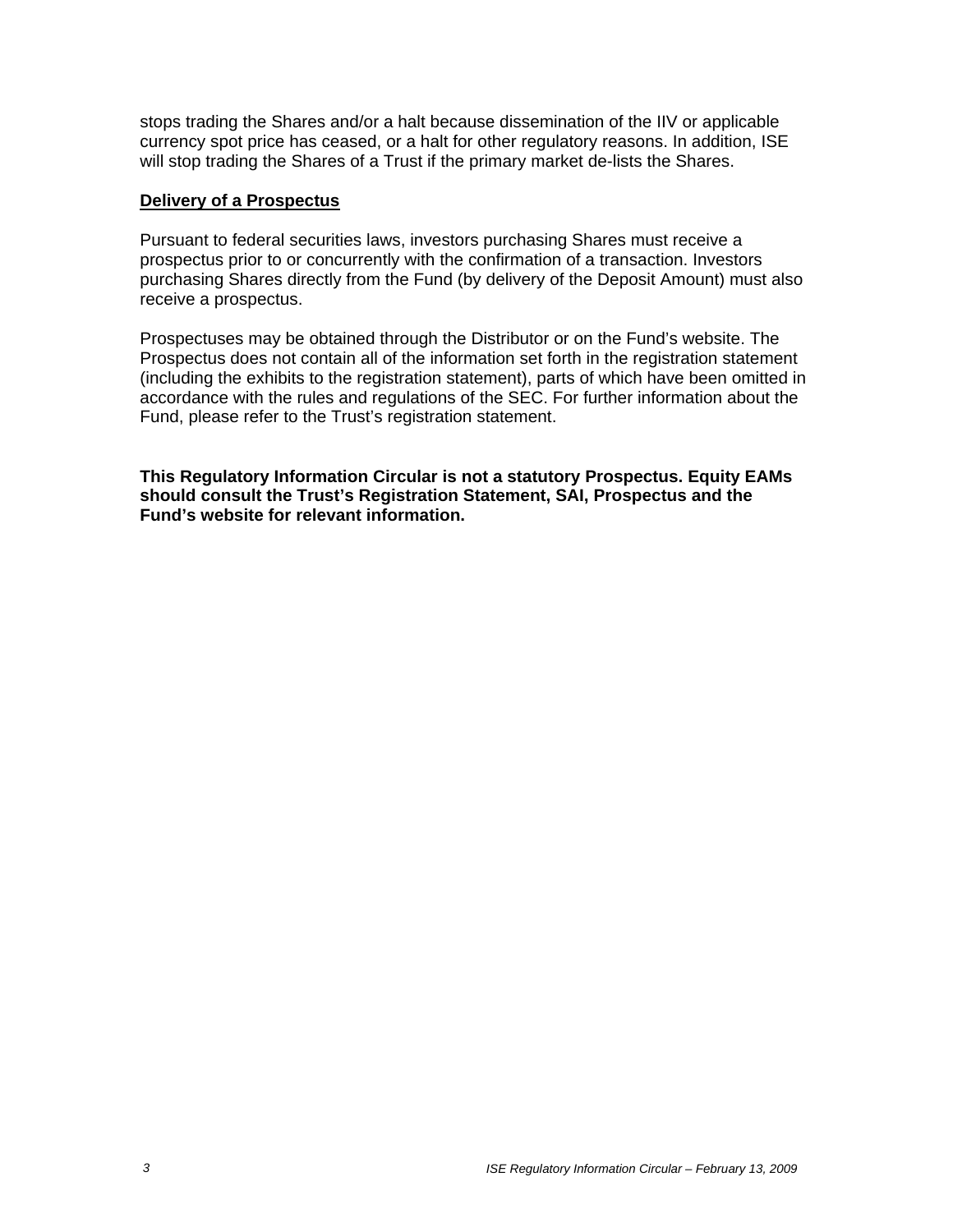stops trading the Shares and/or a halt because dissemination of the IIV or applicable currency spot price has ceased, or a halt for other regulatory reasons. In addition, ISE will stop trading the Shares of a Trust if the primary market de-lists the Shares.

#### **Delivery of a Prospectus**

Pursuant to federal securities laws, investors purchasing Shares must receive a prospectus prior to or concurrently with the confirmation of a transaction. Investors purchasing Shares directly from the Fund (by delivery of the Deposit Amount) must also receive a prospectus.

Prospectuses may be obtained through the Distributor or on the Fund's website. The Prospectus does not contain all of the information set forth in the registration statement (including the exhibits to the registration statement), parts of which have been omitted in accordance with the rules and regulations of the SEC. For further information about the Fund, please refer to the Trust's registration statement.

**This Regulatory Information Circular is not a statutory Prospectus. Equity EAMs should consult the Trust's Registration Statement, SAI, Prospectus and the Fund's website for relevant information.**